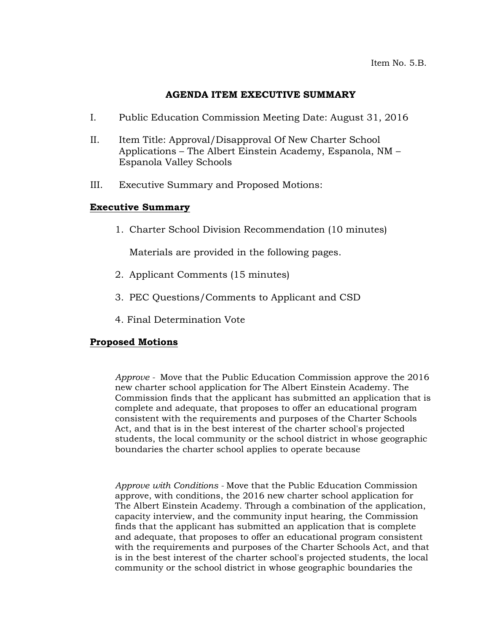### **AGENDA ITEM EXECUTIVE SUMMARY**

- I. Public Education Commission Meeting Date: August 31, 2016
- II. Item Title: Approval/Disapproval Of New Charter School Applications – The Albert Einstein Academy, Espanola, NM – Espanola Valley Schools
- III. Executive Summary and Proposed Motions:

## **Executive Summary**

1. Charter School Division Recommendation (10 minutes)

Materials are provided in the following pages.

- 2. Applicant Comments (15 minutes)
- 3. PEC Questions/Comments to Applicant and CSD
- 4. Final Determination Vote

## **Proposed Motions**

*Approve -* Move that the Public Education Commission approve the 2016 new charter school application for The Albert Einstein Academy. The Commission finds that the applicant has submitted an application that is complete and adequate, that proposes to offer an educational program consistent with the requirements and purposes of the Charter Schools Act, and that is in the best interest of the charter school's projected students, the local community or the school district in whose geographic boundaries the charter school applies to operate because

*Approve with Conditions -* Move that the Public Education Commission approve, with conditions, the 2016 new charter school application for The Albert Einstein Academy. Through a combination of the application, capacity interview, and the community input hearing, the Commission finds that the applicant has submitted an application that is complete and adequate, that proposes to offer an educational program consistent with the requirements and purposes of the Charter Schools Act, and that is in the best interest of the charter school's projected students, the local community or the school district in whose geographic boundaries the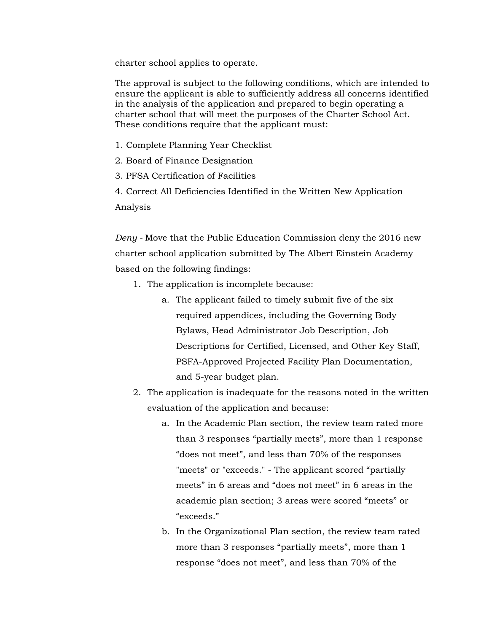charter school applies to operate.

The approval is subject to the following conditions, which are intended to ensure the applicant is able to sufficiently address all concerns identified in the analysis of the application and prepared to begin operating a charter school that will meet the purposes of the Charter School Act. These conditions require that the applicant must:

- 1. Complete Planning Year Checklist
- 2. Board of Finance Designation
- 3. PFSA Certification of Facilities
- 4. Correct All Deficiencies Identified in the Written New Application Analysis

*Deny -* Move that the Public Education Commission deny the 2016 new charter school application submitted by The Albert Einstein Academy based on the following findings:

- 1. The application is incomplete because:
	- a. The applicant failed to timely submit five of the six required appendices, including the Governing Body Bylaws, Head Administrator Job Description, Job Descriptions for Certified, Licensed, and Other Key Staff, PSFA-Approved Projected Facility Plan Documentation, and 5-year budget plan.
- 2. The application is inadequate for the reasons noted in the written evaluation of the application and because:
	- a. In the Academic Plan section, the review team rated more than 3 responses "partially meets", more than 1 response "does not meet", and less than 70% of the responses "meets" or "exceeds." - The applicant scored "partially meets" in 6 areas and "does not meet" in 6 areas in the academic plan section; 3 areas were scored "meets" or "exceeds."
	- b. In the Organizational Plan section, the review team rated more than 3 responses "partially meets", more than 1 response "does not meet", and less than 70% of the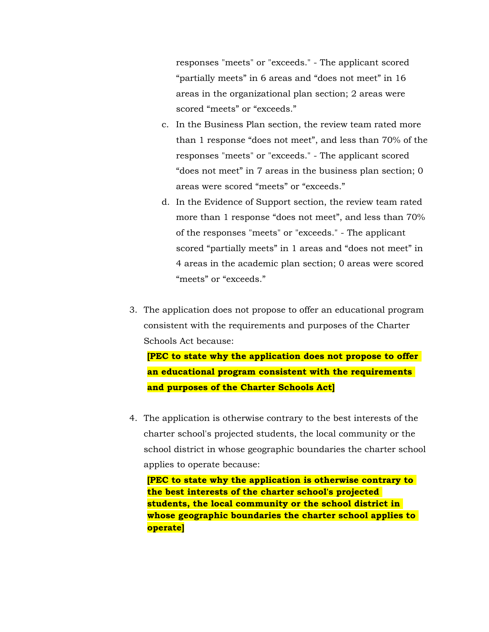responses "meets" or "exceeds." - The applicant scored "partially meets" in 6 areas and "does not meet" in 16 areas in the organizational plan section; 2 areas were scored "meets" or "exceeds."

- c. In the Business Plan section, the review team rated more than 1 response "does not meet", and less than 70% of the responses "meets" or "exceeds." - The applicant scored "does not meet" in 7 areas in the business plan section; 0 areas were scored "meets" or "exceeds."
- d. In the Evidence of Support section, the review team rated more than 1 response "does not meet", and less than 70% of the responses "meets" or "exceeds." - The applicant scored "partially meets" in 1 areas and "does not meet" in 4 areas in the academic plan section; 0 areas were scored "meets" or "exceeds."
- 3. The application does not propose to offer an educational program consistent with the requirements and purposes of the Charter Schools Act because:

**[PEC to state why the application does not propose to offer an educational program consistent with the requirements and purposes of the Charter Schools Act]**

4. The application is otherwise contrary to the best interests of the charter school's projected students, the local community or the school district in whose geographic boundaries the charter school applies to operate because:

**[PEC to state why the application is otherwise contrary to the best interests of the charter school's projected students, the local community or the school district in whose geographic boundaries the charter school applies to operate]**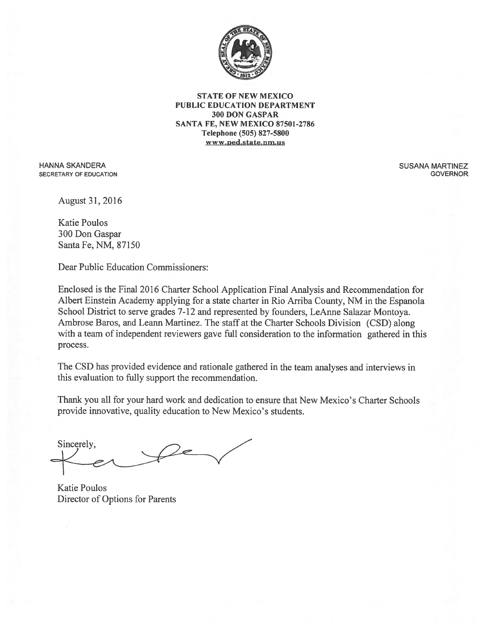

**STATE OF NEW MEXICO PUBLIC EDUCATION DEPARTMENT** 300 DON GASPAR SANTA FE, NEW MEXICO 87501-2786 Telephone (505) 827-5800 www.ped.state.nm.us

HANNA SKANDERA SECRETARY OF EDUCATION **SUSANA MARTINEZ GOVERNOR** 

August 31, 2016

**Katie Poulos** 300 Don Gaspar Santa Fe, NM, 87150

Dear Public Education Commissioners:

Enclosed is the Final 2016 Charter School Application Final Analysis and Recommendation for Albert Einstein Academy applying for a state charter in Rio Arriba County, NM in the Espanola School District to serve grades 7-12 and represented by founders, LeAnne Salazar Montoya. Ambrose Baros, and Leann Martinez. The staff at the Charter Schools Division (CSD) along with a team of independent reviewers gave full consideration to the information gathered in this process.

The CSD has provided evidence and rationale gathered in the team analyses and interviews in this evaluation to fully support the recommendation.

Thank you all for your hard work and dedication to ensure that New Mexico's Charter Schools provide innovative, quality education to New Mexico's students.

Sincerely,

**Katie Poulos** Director of Options for Parents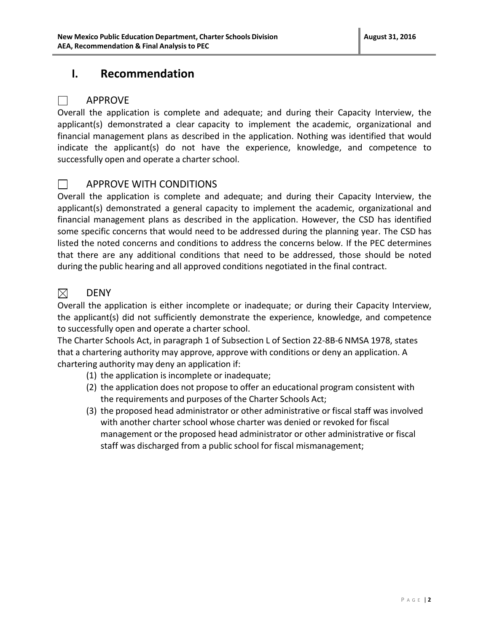## **I. Recommendation**

## APPROVE

 $\mathcal{L}^{\text{max}}$ 

Overall the application is complete and adequate; and during their Capacity Interview, the applicant(s) demonstrated a clear capacity to implement the academic, organizational and financial management plans as described in the application. Nothing was identified that would indicate the applicant(s) do not have the experience, knowledge, and competence to successfully open and operate a charter school.

#### APPROVE WITH CONDITIONS  $\Box$

Overall the application is complete and adequate; and during their Capacity Interview, the applicant(s) demonstrated a general capacity to implement the academic, organizational and financial management plans as described in the application. However, the CSD has identified some specific concerns that would need to be addressed during the planning year. The CSD has listed the noted concerns and conditions to address the concerns below. If the PEC determines that there are any additional conditions that need to be addressed, those should be noted during the public hearing and all approved conditions negotiated in the final contract.

#### $\boxtimes$ DENY

Overall the application is either incomplete or inadequate; or during their Capacity Interview, the applicant(s) did not sufficiently demonstrate the experience, knowledge, and competence to successfully open and operate a charter school.

The Charter Schools Act, in paragraph 1 of Subsection L of Section 22-8B-6 NMSA 1978, states that a chartering authority may approve, approve with conditions or deny an application. A chartering authority may deny an application if:

- (1) the application is incomplete or inadequate;
- (2) the application does not propose to offer an educational program consistent with the requirements and purposes of the Charter Schools Act;
- (3) the proposed head administrator or other administrative or fiscal staff was involved with another charter school whose charter was denied or revoked for fiscal management or the proposed head administrator or other administrative or fiscal staff was discharged from a public school for fiscal mismanagement;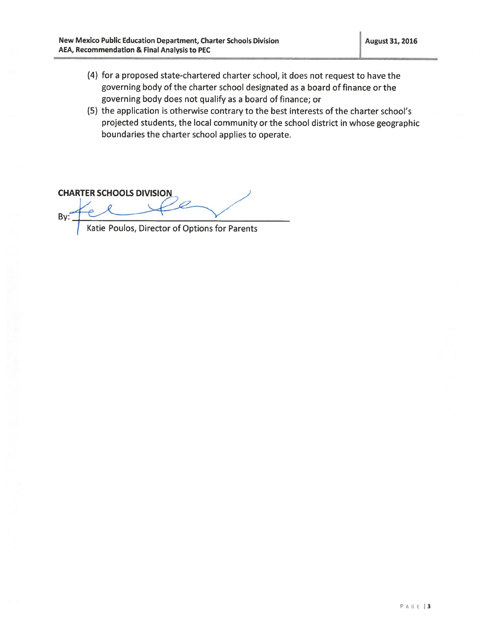- (4) for a proposed state-chartered charter school, it does not request to have the governing body of the charter school designated as a board of finance or the governing body does not qualify as a board of finance; or
- (5) the application is otherwise contrary to the best interests of the charter school's projected students, the local community or the school district in whose geographic boundaries the charter school applies to operate.

**CHARTER SCHOOLS DIVISION** Bv

Katie Poulos, Director of Options for Parents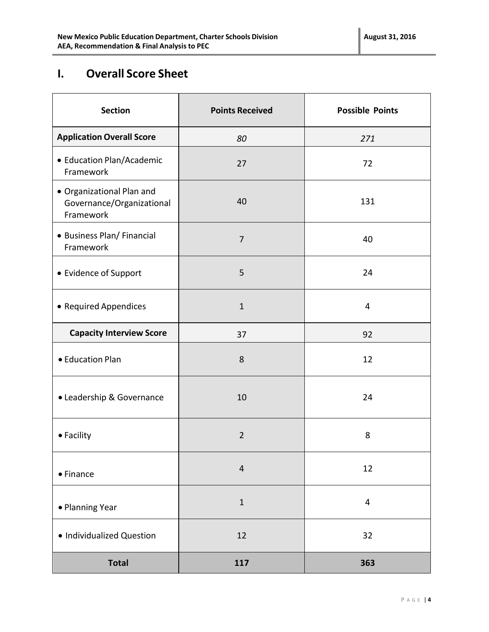# **I. Overall Score Sheet**

| <b>Section</b>                                                      | <b>Points Received</b> | <b>Possible Points</b> |
|---------------------------------------------------------------------|------------------------|------------------------|
| <b>Application Overall Score</b>                                    | 80                     | 271                    |
| • Education Plan/Academic<br>Framework                              | 27                     | 72                     |
| · Organizational Plan and<br>Governance/Organizational<br>Framework | 40                     | 131                    |
| • Business Plan/ Financial<br>Framework                             | $\overline{7}$         | 40                     |
| • Evidence of Support                                               | 5                      | 24                     |
| • Required Appendices                                               | $\mathbf{1}$           | 4                      |
| <b>Capacity Interview Score</b>                                     | 37                     | 92                     |
| • Education Plan                                                    | 8                      | 12                     |
| • Leadership & Governance                                           | 10                     | 24                     |
| • Facility                                                          | $\overline{2}$         | 8                      |
| • Finance                                                           | $\overline{4}$         | 12                     |
| · Planning Year                                                     | $\mathbf{1}$           | 4                      |
| · Individualized Question                                           | 12                     | 32                     |
| <b>Total</b>                                                        | 117                    | 363                    |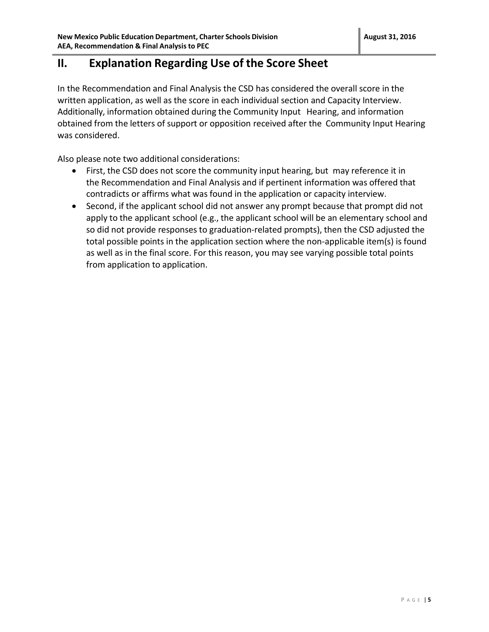## **II. Explanation Regarding Use of the Score Sheet**

In the Recommendation and Final Analysis the CSD has considered the overall score in the written application, as well as the score in each individual section and Capacity Interview. Additionally, information obtained during the Community Input Hearing, and information obtained from the letters of support or opposition received after the Community Input Hearing was considered.

Also please note two additional considerations:

- First, the CSD does not score the community input hearing, but may reference it in the Recommendation and Final Analysis and if pertinent information was offered that contradicts or affirms what was found in the application or capacity interview.
- Second, if the applicant school did not answer any prompt because that prompt did not apply to the applicant school (e.g., the applicant school will be an elementary school and so did not provide responses to graduation-related prompts), then the CSD adjusted the total possible points in the application section where the non-applicable item(s) is found as well as in the final score. For this reason, you may see varying possible total points from application to application.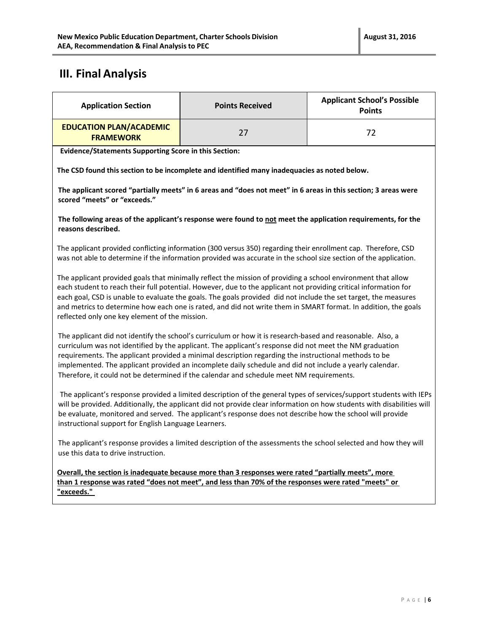# **III. Final Analysis**

| <b>Application Section</b>                                                                                                                                                                                                                                                                                                                                                                                                                                                                                                           | <b>Points Received</b>                                                                                         | <b>Applicant School's Possible</b><br><b>Points</b> |
|--------------------------------------------------------------------------------------------------------------------------------------------------------------------------------------------------------------------------------------------------------------------------------------------------------------------------------------------------------------------------------------------------------------------------------------------------------------------------------------------------------------------------------------|----------------------------------------------------------------------------------------------------------------|-----------------------------------------------------|
| <b>EDUCATION PLAN/ACADEMIC</b><br><b>FRAMEWORK</b>                                                                                                                                                                                                                                                                                                                                                                                                                                                                                   | 27                                                                                                             | 72                                                  |
| <b>Evidence/Statements Supporting Score in this Section:</b>                                                                                                                                                                                                                                                                                                                                                                                                                                                                         |                                                                                                                |                                                     |
|                                                                                                                                                                                                                                                                                                                                                                                                                                                                                                                                      | The CSD found this section to be incomplete and identified many inadequacies as noted below.                   |                                                     |
| scored "meets" or "exceeds."                                                                                                                                                                                                                                                                                                                                                                                                                                                                                                         | The applicant scored "partially meets" in 6 areas and "does not meet" in 6 areas in this section; 3 areas were |                                                     |
| The following areas of the applicant's response were found to not meet the application requirements, for the<br>reasons described.                                                                                                                                                                                                                                                                                                                                                                                                   |                                                                                                                |                                                     |
| The applicant provided conflicting information (300 versus 350) regarding their enrollment cap. Therefore, CSD<br>was not able to determine if the information provided was accurate in the school size section of the application.                                                                                                                                                                                                                                                                                                  |                                                                                                                |                                                     |
| The applicant provided goals that minimally reflect the mission of providing a school environment that allow<br>each student to reach their full potential. However, due to the applicant not providing critical information for<br>each goal, CSD is unable to evaluate the goals. The goals provided did not include the set target, the measures<br>and metrics to determine how each one is rated, and did not write them in SMART format. In addition, the goals<br>reflected only one key element of the mission.              |                                                                                                                |                                                     |
| The applicant did not identify the school's curriculum or how it is research-based and reasonable. Also, a<br>curriculum was not identified by the applicant. The applicant's response did not meet the NM graduation<br>requirements. The applicant provided a minimal description regarding the instructional methods to be<br>implemented. The applicant provided an incomplete daily schedule and did not include a yearly calendar.<br>Therefore, it could not be determined if the calendar and schedule meet NM requirements. |                                                                                                                |                                                     |
| The applicant's response provided a limited description of the general types of services/support students with IEPs<br>will be provided. Additionally, the applicant did not provide clear information on how students with disabilities will<br>be evaluate, monitored and served. The applicant's response does not describe how the school will provide<br>instructional support for English Language Learners.                                                                                                                   |                                                                                                                |                                                     |
| The applicant's response provides a limited description of the assessments the school selected and how they will<br>use this data to drive instruction.                                                                                                                                                                                                                                                                                                                                                                              |                                                                                                                |                                                     |
| Overall, the section is inadequate because more than 3 responses were rated "partially meets", more<br>than 1 response was rated "does not meet", and less than 70% of the responses were rated "meets" or<br>"exceeds."                                                                                                                                                                                                                                                                                                             |                                                                                                                |                                                     |
|                                                                                                                                                                                                                                                                                                                                                                                                                                                                                                                                      |                                                                                                                |                                                     |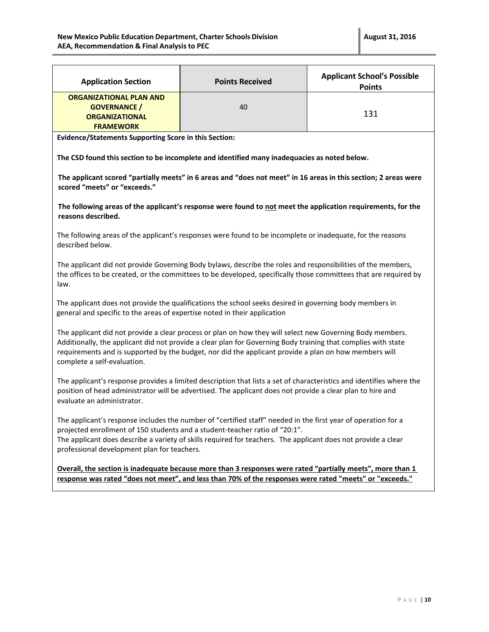| <b>Application Section</b>                                                                         | <b>Points Received</b>                                                                                                                                                                                                                                                                                                              | <b>Applicant School's Possible</b><br><b>Points</b> |
|----------------------------------------------------------------------------------------------------|-------------------------------------------------------------------------------------------------------------------------------------------------------------------------------------------------------------------------------------------------------------------------------------------------------------------------------------|-----------------------------------------------------|
| <b>ORGANIZATIONAL PLAN AND</b><br><b>GOVERNANCE</b> /<br><b>ORGANIZATIONAL</b><br><b>FRAMEWORK</b> | 40                                                                                                                                                                                                                                                                                                                                  | 131                                                 |
| <b>Evidence/Statements Supporting Score in this Section:</b>                                       |                                                                                                                                                                                                                                                                                                                                     |                                                     |
|                                                                                                    | The CSD found this section to be incomplete and identified many inadequacies as noted below.                                                                                                                                                                                                                                        |                                                     |
| scored "meets" or "exceeds."                                                                       | The applicant scored "partially meets" in 6 areas and "does not meet" in 16 areas in this section; 2 areas were                                                                                                                                                                                                                     |                                                     |
| reasons described.                                                                                 | The following areas of the applicant's response were found to not meet the application requirements, for the                                                                                                                                                                                                                        |                                                     |
| described below.                                                                                   | The following areas of the applicant's responses were found to be incomplete or inadequate, for the reasons                                                                                                                                                                                                                         |                                                     |
| law.                                                                                               | The applicant did not provide Governing Body bylaws, describe the roles and responsibilities of the members,<br>the offices to be created, or the committees to be developed, specifically those committees that are required by                                                                                                    |                                                     |
| general and specific to the areas of expertise noted in their application                          | The applicant does not provide the qualifications the school seeks desired in governing body members in                                                                                                                                                                                                                             |                                                     |
| complete a self-evaluation.                                                                        | The applicant did not provide a clear process or plan on how they will select new Governing Body members.<br>Additionally, the applicant did not provide a clear plan for Governing Body training that complies with state<br>requirements and is supported by the budget, nor did the applicant provide a plan on how members will |                                                     |
| evaluate an administrator.                                                                         | The applicant's response provides a limited description that lists a set of characteristics and identifies where the<br>position of head administrator will be advertised. The applicant does not provide a clear plan to hire and                                                                                                  |                                                     |
|                                                                                                    | The applicant's response includes the number of "certified staff" needed in the first year of operation for a<br>projected enrollment of 150 students and a student-teacher ratio of "20:1".                                                                                                                                        |                                                     |
| professional development plan for teachers.                                                        | The applicant does describe a variety of skills required for teachers. The applicant does not provide a clear                                                                                                                                                                                                                       |                                                     |
|                                                                                                    | Overall, the section is inadequate because more than 3 responses were rated "partially meets", more than 1<br>response was rated "does not meet", and less than 70% of the responses were rated "meets" or "exceeds."                                                                                                               |                                                     |
|                                                                                                    |                                                                                                                                                                                                                                                                                                                                     |                                                     |
|                                                                                                    |                                                                                                                                                                                                                                                                                                                                     |                                                     |
|                                                                                                    |                                                                                                                                                                                                                                                                                                                                     |                                                     |
|                                                                                                    |                                                                                                                                                                                                                                                                                                                                     |                                                     |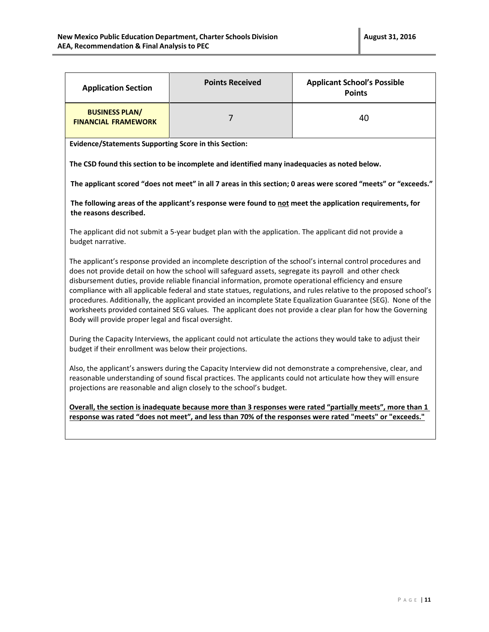| <b>Application Section</b>                                                                                                                                                                                                                                                                                                                                                                                                                                                                                                                                                                                                                                                                                                                     | <b>Points Received</b> | <b>Applicant School's Possible</b><br><b>Points</b> |
|------------------------------------------------------------------------------------------------------------------------------------------------------------------------------------------------------------------------------------------------------------------------------------------------------------------------------------------------------------------------------------------------------------------------------------------------------------------------------------------------------------------------------------------------------------------------------------------------------------------------------------------------------------------------------------------------------------------------------------------------|------------------------|-----------------------------------------------------|
| <b>BUSINESS PLAN/</b><br><b>FINANCIAL FRAMEWORK</b>                                                                                                                                                                                                                                                                                                                                                                                                                                                                                                                                                                                                                                                                                            | $\overline{7}$         | 40                                                  |
| <b>Evidence/Statements Supporting Score in this Section:</b>                                                                                                                                                                                                                                                                                                                                                                                                                                                                                                                                                                                                                                                                                   |                        |                                                     |
| The CSD found this section to be incomplete and identified many inadequacies as noted below.                                                                                                                                                                                                                                                                                                                                                                                                                                                                                                                                                                                                                                                   |                        |                                                     |
| The applicant scored "does not meet" in all 7 areas in this section; 0 areas were scored "meets" or "exceeds."                                                                                                                                                                                                                                                                                                                                                                                                                                                                                                                                                                                                                                 |                        |                                                     |
| The following areas of the applicant's response were found to not meet the application requirements, for<br>the reasons described.                                                                                                                                                                                                                                                                                                                                                                                                                                                                                                                                                                                                             |                        |                                                     |
| The applicant did not submit a 5-year budget plan with the application. The applicant did not provide a<br>budget narrative.                                                                                                                                                                                                                                                                                                                                                                                                                                                                                                                                                                                                                   |                        |                                                     |
| The applicant's response provided an incomplete description of the school's internal control procedures and<br>does not provide detail on how the school will safeguard assets, segregate its payroll and other check<br>disbursement duties, provide reliable financial information, promote operational efficiency and ensure<br>compliance with all applicable federal and state statues, regulations, and rules relative to the proposed school's<br>procedures. Additionally, the applicant provided an incomplete State Equalization Guarantee (SEG). None of the<br>worksheets provided contained SEG values. The applicant does not provide a clear plan for how the Governing<br>Body will provide proper legal and fiscal oversight. |                        |                                                     |
| During the Capacity Interviews, the applicant could not articulate the actions they would take to adjust their<br>budget if their enrollment was below their projections.                                                                                                                                                                                                                                                                                                                                                                                                                                                                                                                                                                      |                        |                                                     |
| Also, the applicant's answers during the Capacity Interview did not demonstrate a comprehensive, clear, and<br>reasonable understanding of sound fiscal practices. The applicants could not articulate how they will ensure<br>projections are reasonable and align closely to the school's budget.                                                                                                                                                                                                                                                                                                                                                                                                                                            |                        |                                                     |
| Overall, the section is inadequate because more than 3 responses were rated "partially meets", more than 1                                                                                                                                                                                                                                                                                                                                                                                                                                                                                                                                                                                                                                     |                        |                                                     |

**response was rated "does not meet", and less than 70% of the responses were rated "meets" or "exceeds."**